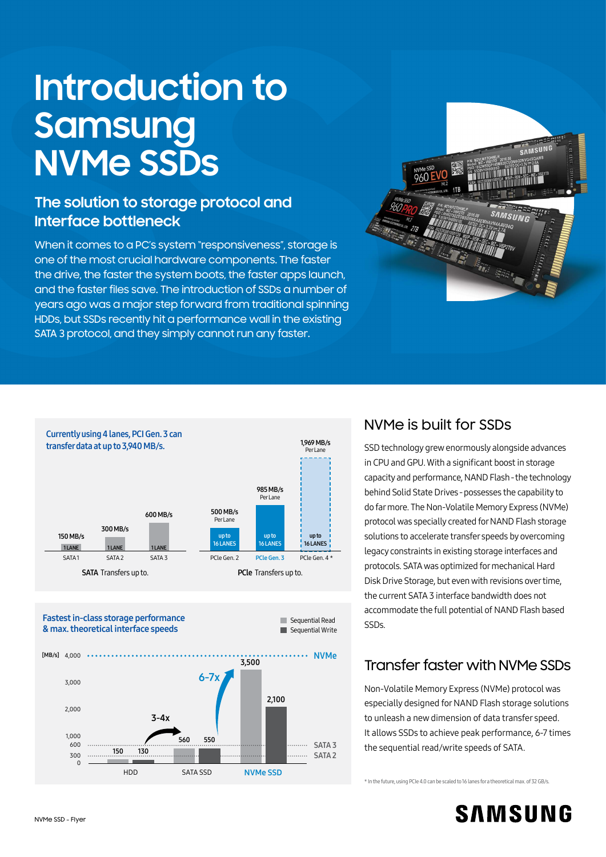# **Introduction to Samsung NVMe SSDs**

# **The solution to storage protocol and Interface bottleneck**

When it comes to a PC's system "responsiveness", storage is one of the most crucial hardware components. The faster the drive, the faster the system boots, the faster apps launch, and the faster files save. The introduction of SSDs a number of years ago was a major step forward from traditional spinning HDDs, but SSDs recently hit a performance wall in the existing SATA 3 protocol, and they simply cannot run any faster.







### NVMe is built for SSDs

SSD technology grew enormously alongside advances in CPU and GPU. With a significant boost in storage capacity and performance, NAND Flash - the technology behind Solid State Drives - possesses the capability to do far more. The Non-Volatile Memory Express (NVMe) protocol was specially created for NAND Flash storage solutions to accelerate transfer speeds by overcoming legacy constraints in existing storage interfaces and protocols. SATA was optimized for mechanical Hard Disk Drive Storage, but even with revisions over time, the current SATA 3 interface bandwidth does not accommodate the full potential of NAND Flash based SSDs.

# Transfer faster with NVMe SSDs

Non-Volatile Memory Express (NVMe) protocol was especially designed for NAND Flash storage solutions to unleash a new dimension of data transfer speed. It allows SSDs to achieve peak performance, 6-7 times the sequential read/write speeds of SATA.

\* In the future, using PCIe 4.0 can be scaled to 16 lanes for a theoretical max. of 32 GB/s.